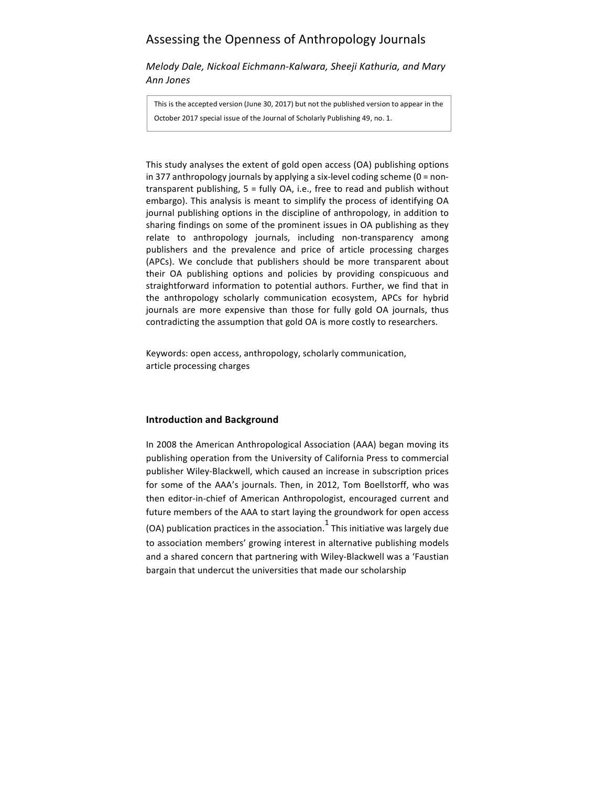# Assessing the Openness of Anthropology Journals

*Melody Dale, Nickoal Eichmann-Kalwara, Sheeji Kathuria, and Mary Ann Jones*

This is the accepted version (June 30, 2017) but not the published version to appear in the October 2017 special issue of the Journal of Scholarly Publishing 49, no. 1.

This study analyses the extent of gold open access (OA) publishing options in 377 anthropology journals by applying a six-level coding scheme  $(0 = non$ transparent publishing,  $5 =$  fully OA, i.e., free to read and publish without embargo). This analysis is meant to simplify the process of identifying OA journal publishing options in the discipline of anthropology, in addition to sharing findings on some of the prominent issues in OA publishing as they relate to anthropology journals, including non-transparency among publishers and the prevalence and price of article processing charges (APCs). We conclude that publishers should be more transparent about their OA publishing options and policies by providing conspicuous and straightforward information to potential authors. Further, we find that in the anthropology scholarly communication ecosystem, APCs for hybrid journals are more expensive than those for fully gold OA journals, thus contradicting the assumption that gold OA is more costly to researchers.

Keywords: open access, anthropology, scholarly communication, article processing charges

# **Introduction and Background**

In 2008 the American Anthropological Association (AAA) began moving its publishing operation from the University of California Press to commercial publisher Wiley-Blackwell, which caused an increase in subscription prices for some of the AAA's journals. Then, in 2012, Tom Boellstorff, who was then editor-in-chief of American Anthropologist, encouraged current and future members of the AAA to start laying the groundwork for open access (OA) publication practices in the association.<sup>1</sup> This initiative was largely due to association members' growing interest in alternative publishing models and a shared concern that partnering with Wiley-Blackwell was a 'Faustian bargain that undercut the universities that made our scholarship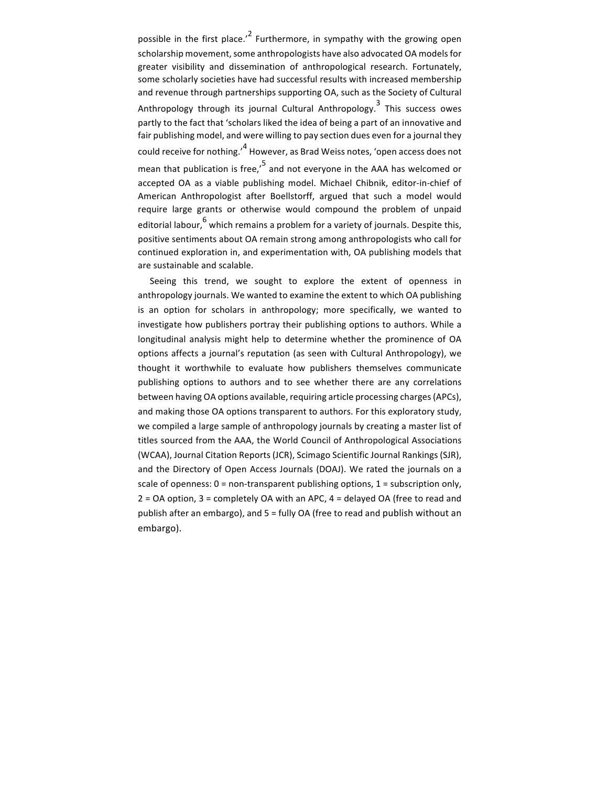possible in the first place.<sup>'2</sup> Furthermore, in sympathy with the growing open scholarship movement, some anthropologists have also advocated OA models for greater visibility and dissemination of anthropological research. Fortunately, some scholarly societies have had successful results with increased membership and revenue through partnerships supporting OA, such as the Society of Cultural Anthropology through its journal Cultural Anthropology.<sup>3</sup> This success owes partly to the fact that 'scholars liked the idea of being a part of an innovative and fair publishing model, and were willing to pay section dues even for a journal they could receive for nothing.<sup>14</sup> However, as Brad Weiss notes, 'open access does not mean that publication is free,<sup> $5$ </sup> and not everyone in the AAA has welcomed or accepted OA as a viable publishing model. Michael Chibnik, editor-in-chief of American Anthropologist after Boellstorff, argued that such a model would require large grants or otherwise would compound the problem of unpaid editorial labour,<sup>6</sup> which remains a problem for a variety of journals. Despite this, positive sentiments about OA remain strong among anthropologists who call for continued exploration in, and experimentation with, OA publishing models that are sustainable and scalable.

Seeing this trend, we sought to explore the extent of openness in anthropology journals. We wanted to examine the extent to which OA publishing is an option for scholars in anthropology; more specifically, we wanted to investigate how publishers portray their publishing options to authors. While a longitudinal analysis might help to determine whether the prominence of OA options affects a journal's reputation (as seen with Cultural Anthropology), we thought it worthwhile to evaluate how publishers themselves communicate publishing options to authors and to see whether there are any correlations between having OA options available, requiring article processing charges (APCs), and making those OA options transparent to authors. For this exploratory study, we compiled a large sample of anthropology journals by creating a master list of titles sourced from the AAA, the World Council of Anthropological Associations (WCAA), Journal Citation Reports (JCR), Scimago Scientific Journal Rankings (SJR), and the Directory of Open Access Journals (DOAJ). We rated the journals on a scale of openness:  $0 =$  non-transparent publishing options,  $1 =$  subscription only,  $2 = OA$  option,  $3 =$  completely  $OA$  with an APC,  $4 =$  delayed  $OA$  (free to read and publish after an embargo), and 5 = fully OA (free to read and publish without an embargo).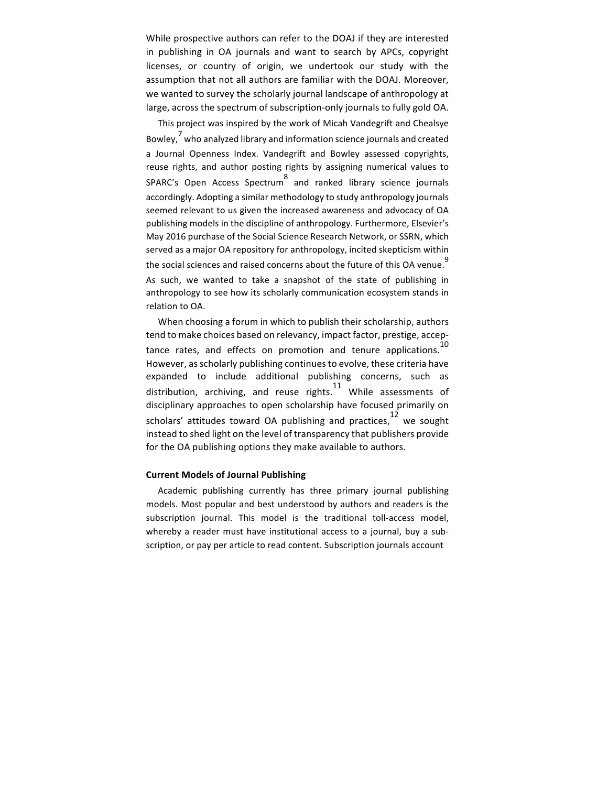While prospective authors can refer to the DOAJ if they are interested in publishing in OA journals and want to search by APCs, copyright licenses, or country of origin, we undertook our study with the assumption that not all authors are familiar with the DOAJ. Moreover, we wanted to survey the scholarly journal landscape of anthropology at large, across the spectrum of subscription-only journals to fully gold OA.

This project was inspired by the work of Micah Vandegrift and Chealsye Bowley.<sup>7</sup> who analyzed library and information science journals and created a Journal Openness Index. Vandegrift and Bowley assessed copyrights, reuse rights, and author posting rights by assigning numerical values to SPARC's Open Access Spectrum  $\frac{8}{3}$  and ranked library science journals accordingly. Adopting a similar methodology to study anthropology journals seemed relevant to us given the increased awareness and advocacy of OA publishing models in the discipline of anthropology. Furthermore, Elsevier's May 2016 purchase of the Social Science Research Network, or SSRN, which served as a major OA repository for anthropology, incited skepticism within the social sciences and raised concerns about the future of this OA venue.<sup>9</sup> As such, we wanted to take a snapshot of the state of publishing in anthropology to see how its scholarly communication ecosystem stands in relation to OA.

When choosing a forum in which to publish their scholarship, authors tend to make choices based on relevancy, impact factor, prestige, acceptance rates, and effects on promotion and tenure applications.<sup>10</sup> However, as scholarly publishing continues to evolve, these criteria have expanded to include additional publishing concerns, such as distribution, archiving, and reuse rights. While assessments of disciplinary approaches to open scholarship have focused primarily on scholars' attitudes toward OA publishing and practices, $12$  we sought instead to shed light on the level of transparency that publishers provide for the OA publishing options they make available to authors.

#### **Current Models of Journal Publishing**

Academic publishing currently has three primary journal publishing models. Most popular and best understood by authors and readers is the subscription journal. This model is the traditional toll-access model, whereby a reader must have institutional access to a journal, buy a subscription, or pay per article to read content. Subscription journals account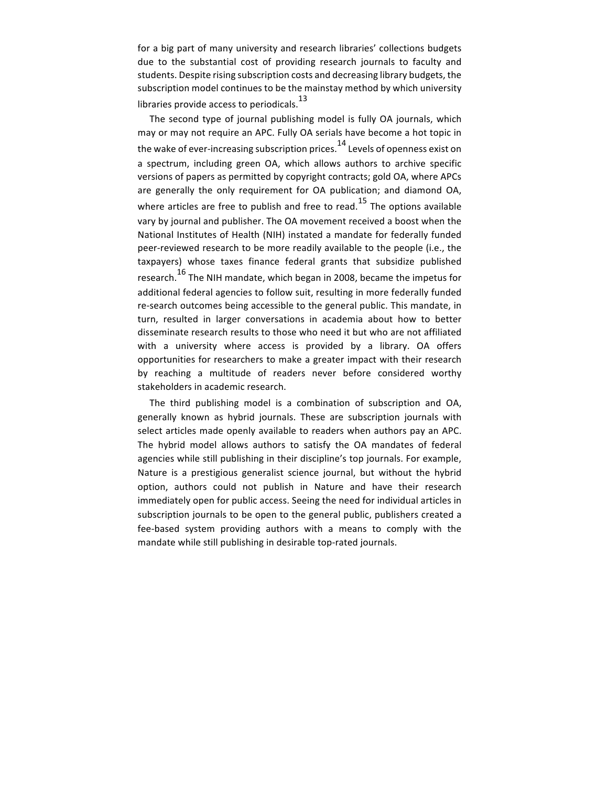for a big part of many university and research libraries' collections budgets due to the substantial cost of providing research journals to faculty and students. Despite rising subscription costs and decreasing library budgets, the subscription model continues to be the mainstay method by which university libraries provide access to periodicals. $^{13}$ 

The second type of journal publishing model is fully OA journals, which may or may not require an APC. Fully OA serials have become a hot topic in the wake of ever-increasing subscription prices.  $14$  Levels of openness exist on a spectrum, including green OA, which allows authors to archive specific versions of papers as permitted by copyright contracts; gold OA, where APCs are generally the only requirement for OA publication; and diamond OA, where articles are free to publish and free to read.<sup>15</sup> The options available vary by journal and publisher. The OA movement received a boost when the National Institutes of Health (NIH) instated a mandate for federally funded peer-reviewed research to be more readily available to the people (i.e., the taxpayers) whose taxes finance federal grants that subsidize published research.<sup>16</sup> The NIH mandate, which began in 2008, became the impetus for additional federal agencies to follow suit, resulting in more federally funded re-search outcomes being accessible to the general public. This mandate, in turn, resulted in larger conversations in academia about how to better disseminate research results to those who need it but who are not affiliated with a university where access is provided by a library. OA offers opportunities for researchers to make a greater impact with their research by reaching a multitude of readers never before considered worthy stakeholders in academic research.

The third publishing model is a combination of subscription and OA, generally known as hybrid journals. These are subscription journals with select articles made openly available to readers when authors pay an APC. The hybrid model allows authors to satisfy the OA mandates of federal agencies while still publishing in their discipline's top journals. For example, Nature is a prestigious generalist science journal, but without the hybrid option, authors could not publish in Nature and have their research immediately open for public access. Seeing the need for individual articles in subscription journals to be open to the general public, publishers created a fee-based system providing authors with a means to comply with the mandate while still publishing in desirable top-rated journals.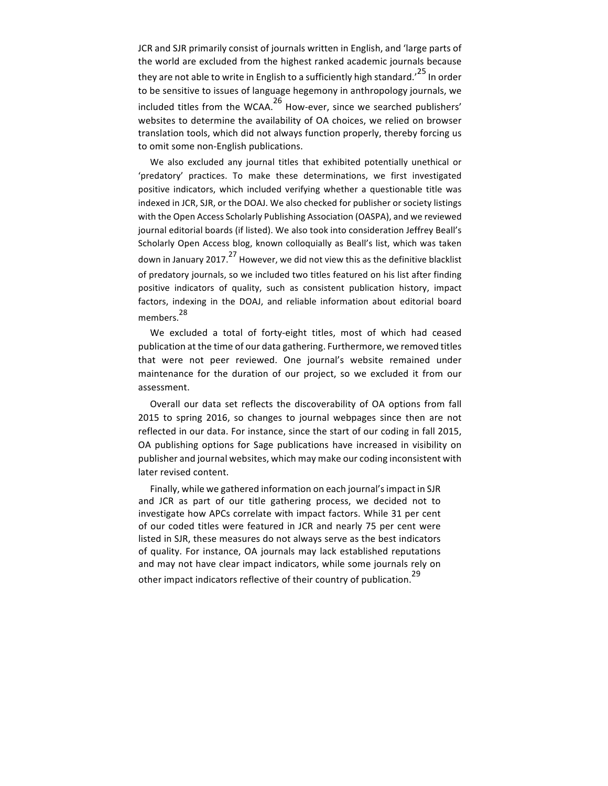JCR and SJR primarily consist of journals written in English, and 'large parts of the world are excluded from the highest ranked academic journals because they are not able to write in English to a sufficiently high standard.<sup>25</sup> In order to be sensitive to issues of language hegemony in anthropology journals, we included titles from the WCAA.<sup>26</sup> How-ever, since we searched publishers' websites to determine the availability of OA choices, we relied on browser translation tools, which did not always function properly, thereby forcing us to omit some non-English publications.

We also excluded any journal titles that exhibited potentially unethical or 'predatory' practices. To make these determinations, we first investigated positive indicators, which included verifying whether a questionable title was indexed in JCR, SJR, or the DOAJ. We also checked for publisher or society listings with the Open Access Scholarly Publishing Association (OASPA), and we reviewed journal editorial boards (if listed). We also took into consideration Jeffrey Beall's Scholarly Open Access blog, known colloquially as Beall's list, which was taken down in January 2017.<sup>27</sup> However, we did not view this as the definitive blacklist of predatory journals, so we included two titles featured on his list after finding positive indicators of quality, such as consistent publication history, impact factors, indexing in the DOAJ, and reliable information about editorial board members.<sup>28</sup>

We excluded a total of forty-eight titles, most of which had ceased publication at the time of our data gathering. Furthermore, we removed titles that were not peer reviewed. One journal's website remained under maintenance for the duration of our project, so we excluded it from our assessment.

Overall our data set reflects the discoverability of OA options from fall 2015 to spring 2016, so changes to journal webpages since then are not reflected in our data. For instance, since the start of our coding in fall 2015, OA publishing options for Sage publications have increased in visibility on publisher and journal websites, which may make our coding inconsistent with later revised content.

Finally, while we gathered information on each journal's impact in SJR and JCR as part of our title gathering process, we decided not to investigate how APCs correlate with impact factors. While 31 per cent of our coded titles were featured in JCR and nearly 75 per cent were listed in SJR, these measures do not always serve as the best indicators of quality. For instance, OA journals may lack established reputations and may not have clear impact indicators, while some journals rely on other impact indicators reflective of their country of publication.<sup>29</sup>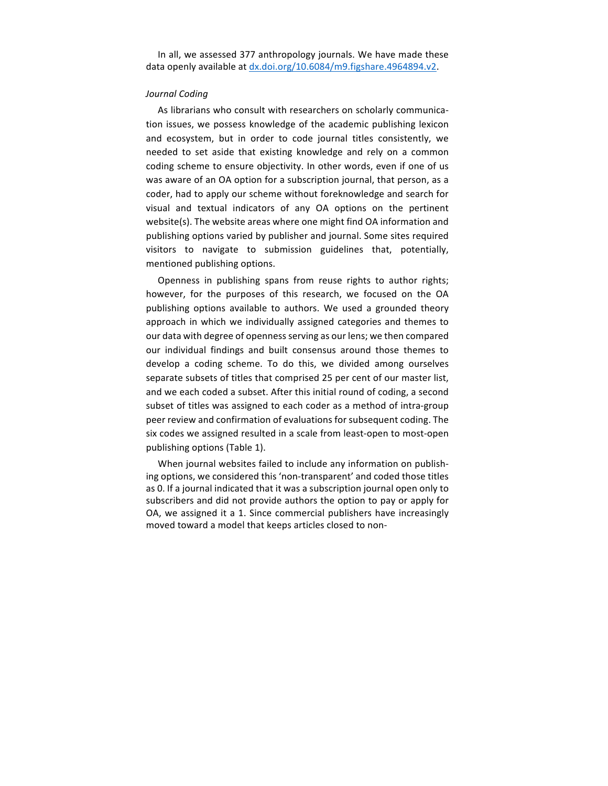In all, we assessed 377 anthropology journals. We have made these data openly available at dx.doi.org/10.6084/m9.figshare.4964894.v2.

## *Journal Coding*

As librarians who consult with researchers on scholarly communication issues, we possess knowledge of the academic publishing lexicon and ecosystem, but in order to code journal titles consistently, we needed to set aside that existing knowledge and rely on a common coding scheme to ensure objectivity. In other words, even if one of us was aware of an OA option for a subscription journal, that person, as a coder, had to apply our scheme without foreknowledge and search for visual and textual indicators of any OA options on the pertinent website(s). The website areas where one might find OA information and publishing options varied by publisher and journal. Some sites required visitors to navigate to submission guidelines that, potentially, mentioned publishing options.

Openness in publishing spans from reuse rights to author rights; however, for the purposes of this research, we focused on the OA publishing options available to authors. We used a grounded theory approach in which we individually assigned categories and themes to our data with degree of openness serving as our lens; we then compared our individual findings and built consensus around those themes to develop a coding scheme. To do this, we divided among ourselves separate subsets of titles that comprised 25 per cent of our master list, and we each coded a subset. After this initial round of coding, a second subset of titles was assigned to each coder as a method of intra-group peer review and confirmation of evaluations for subsequent coding. The six codes we assigned resulted in a scale from least-open to most-open publishing options (Table 1).

When journal websites failed to include any information on publishing options, we considered this 'non-transparent' and coded those titles as 0. If a journal indicated that it was a subscription journal open only to subscribers and did not provide authors the option to pay or apply for OA, we assigned it a 1. Since commercial publishers have increasingly moved toward a model that keeps articles closed to non-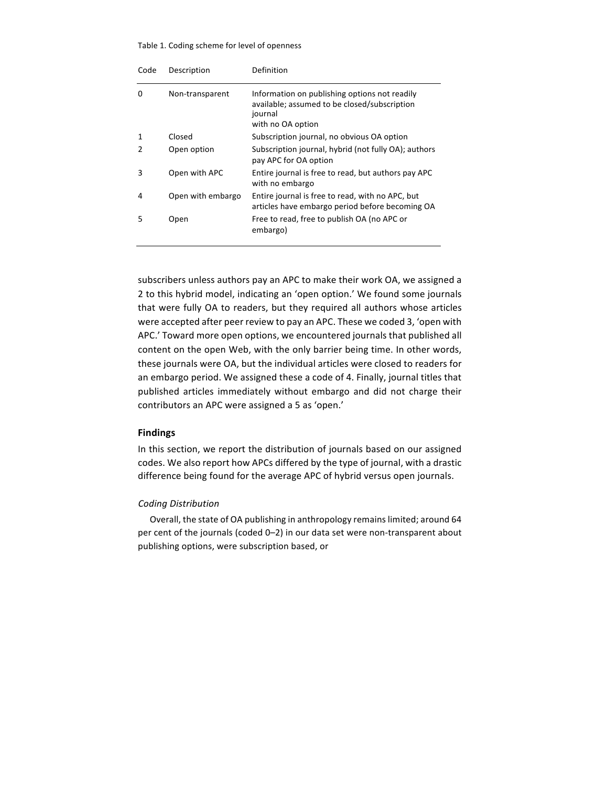#### Table 1. Coding scheme for level of openness

| Code | Description       | Definition                                                                                                                    |
|------|-------------------|-------------------------------------------------------------------------------------------------------------------------------|
| 0    | Non-transparent   | Information on publishing options not readily<br>available; assumed to be closed/subscription<br>journal<br>with no OA option |
| 1    | Closed            | Subscription journal, no obvious OA option                                                                                    |
| 2    | Open option       | Subscription journal, hybrid (not fully OA); authors<br>pay APC for OA option                                                 |
| 3    | Open with APC     | Entire journal is free to read, but authors pay APC<br>with no embargo                                                        |
| 4    | Open with embargo | Entire journal is free to read, with no APC, but<br>articles have embargo period before becoming OA                           |
| 5    | Open              | Free to read, free to publish OA (no APC or<br>embargo)                                                                       |

subscribers unless authors pay an APC to make their work OA, we assigned a 2 to this hybrid model, indicating an 'open option.' We found some journals that were fully OA to readers, but they required all authors whose articles were accepted after peer review to pay an APC. These we coded 3, 'open with APC.' Toward more open options, we encountered journals that published all content on the open Web, with the only barrier being time. In other words, these journals were OA, but the individual articles were closed to readers for an embargo period. We assigned these a code of 4. Finally, journal titles that published articles immediately without embargo and did not charge their contributors an APC were assigned a 5 as 'open.'

# **Findings**

In this section, we report the distribution of journals based on our assigned codes. We also report how APCs differed by the type of journal, with a drastic difference being found for the average APC of hybrid versus open journals.

# *Coding Distribution*

Overall, the state of OA publishing in anthropology remains limited; around 64 per cent of the journals (coded 0-2) in our data set were non-transparent about publishing options, were subscription based, or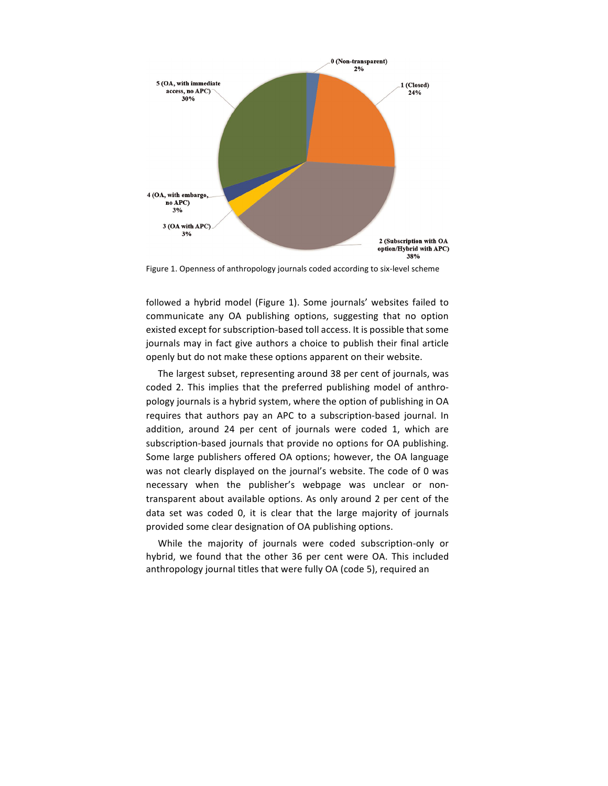

Figure 1. Openness of anthropology journals coded according to six-level scheme

followed a hybrid model (Figure 1). Some journals' websites failed to communicate any OA publishing options, suggesting that no option existed except for subscription-based toll access. It is possible that some journals may in fact give authors a choice to publish their final article openly but do not make these options apparent on their website.

The largest subset, representing around 38 per cent of journals, was coded 2. This implies that the preferred publishing model of anthropology journals is a hybrid system, where the option of publishing in OA requires that authors pay an APC to a subscription-based journal. In addition, around 24 per cent of journals were coded 1, which are subscription-based journals that provide no options for OA publishing. Some large publishers offered OA options; however, the OA language was not clearly displayed on the journal's website. The code of 0 was necessary when the publisher's webpage was unclear or nontransparent about available options. As only around 2 per cent of the data set was coded 0, it is clear that the large majority of journals provided some clear designation of OA publishing options.

While the majority of journals were coded subscription-only or hybrid, we found that the other 36 per cent were OA. This included anthropology journal titles that were fully OA (code 5), required an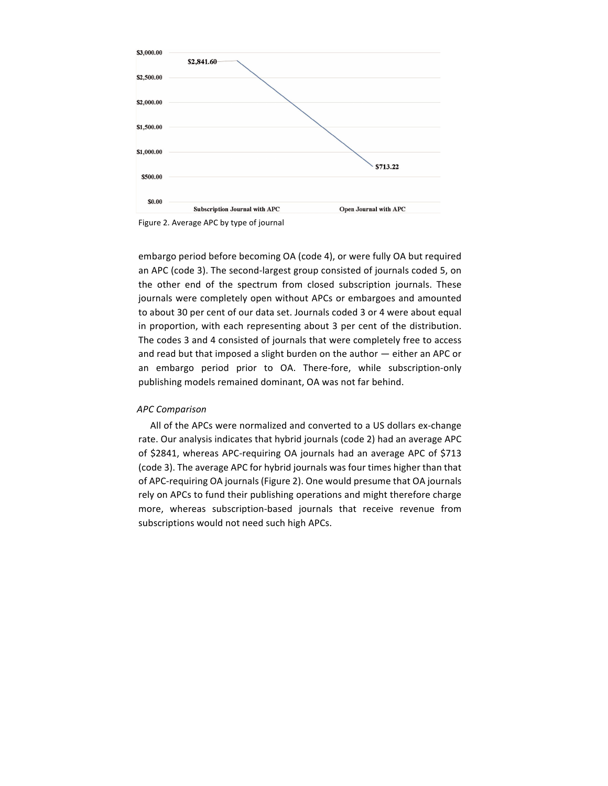

Figure 2. Average APC by type of journal

embargo period before becoming OA (code 4), or were fully OA but required an APC (code 3). The second-largest group consisted of journals coded 5, on the other end of the spectrum from closed subscription journals. These journals were completely open without APCs or embargoes and amounted to about 30 per cent of our data set. Journals coded 3 or 4 were about equal in proportion, with each representing about 3 per cent of the distribution. The codes 3 and 4 consisted of journals that were completely free to access and read but that imposed a slight burden on the author  $-$  either an APC or an embargo period prior to OA. There-fore, while subscription-only publishing models remained dominant, OA was not far behind.

## *APC Comparison*

All of the APCs were normalized and converted to a US dollars ex-change rate. Our analysis indicates that hybrid journals (code 2) had an average APC of \$2841, whereas APC-requiring OA journals had an average APC of \$713 (code 3). The average APC for hybrid journals was four times higher than that of APC-requiring OA journals (Figure 2). One would presume that OA journals rely on APCs to fund their publishing operations and might therefore charge more, whereas subscription-based journals that receive revenue from subscriptions would not need such high APCs.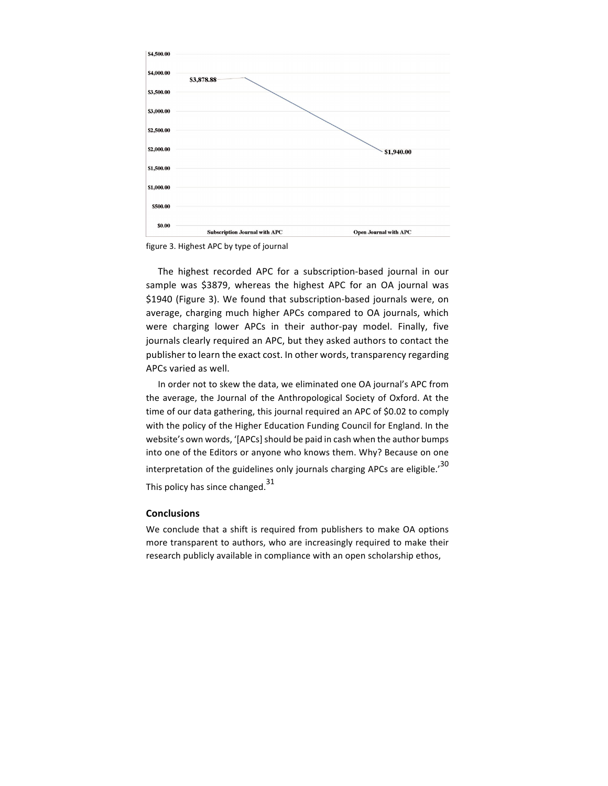

figure 3. Highest APC by type of journal

The highest recorded APC for a subscription-based journal in our sample was \$3879, whereas the highest APC for an OA journal was \$1940 (Figure 3). We found that subscription-based journals were, on average, charging much higher APCs compared to OA journals, which were charging lower APCs in their author-pay model. Finally, five journals clearly required an APC, but they asked authors to contact the publisher to learn the exact cost. In other words, transparency regarding APCs varied as well.

In order not to skew the data, we eliminated one OA journal's APC from the average, the Journal of the Anthropological Society of Oxford. At the time of our data gathering, this journal required an APC of \$0.02 to comply with the policy of the Higher Education Funding Council for England. In the website's own words, '[APCs] should be paid in cash when the author bumps into one of the Editors or anyone who knows them. Why? Because on one interpretation of the guidelines only journals charging APCs are eligible.<sup>'30</sup> This policy has since changed.<sup>31</sup>

# **Conclusions**

We conclude that a shift is required from publishers to make OA options more transparent to authors, who are increasingly required to make their research publicly available in compliance with an open scholarship ethos,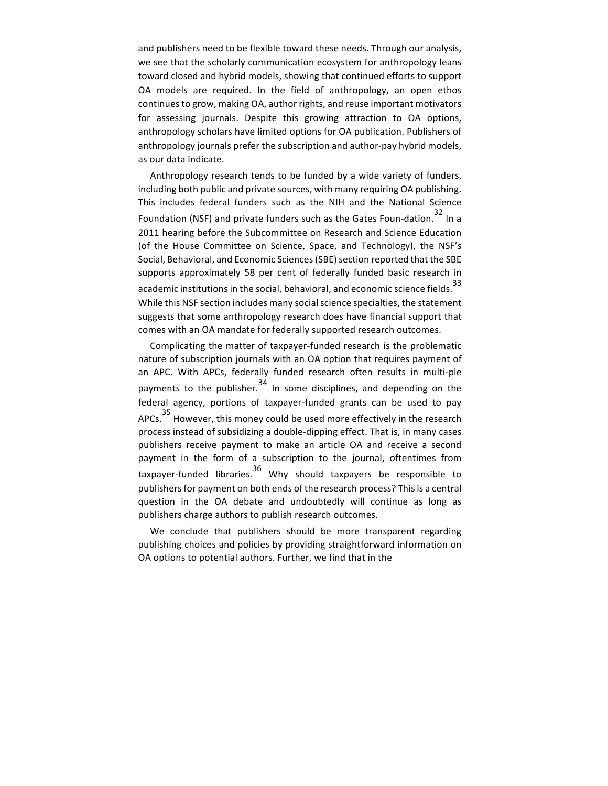and publishers need to be flexible toward these needs. Through our analysis, we see that the scholarly communication ecosystem for anthropology leans toward closed and hybrid models, showing that continued efforts to support OA models are required. In the field of anthropology, an open ethos continues to grow, making OA, author rights, and reuse important motivators for assessing journals. Despite this growing attraction to OA options, anthropology scholars have limited options for OA publication. Publishers of anthropology journals prefer the subscription and author-pay hybrid models, as our data indicate.

Anthropology research tends to be funded by a wide variety of funders, including both public and private sources, with many requiring OA publishing. This includes federal funders such as the NIH and the National Science Foundation (NSF) and private funders such as the Gates Foun-dation.<sup>32</sup> In a 2011 hearing before the Subcommittee on Research and Science Education (of the House Committee on Science, Space, and Technology), the NSF's Social, Behavioral, and Economic Sciences (SBE) section reported that the SBE supports approximately 58 per cent of federally funded basic research in academic institutions in the social, behavioral, and economic science fields.  $33$ While this NSF section includes many social science specialties, the statement suggests that some anthropology research does have financial support that comes with an OA mandate for federally supported research outcomes.

Complicating the matter of taxpayer-funded research is the problematic nature of subscription journals with an OA option that requires payment of an APC. With APCs, federally funded research often results in multi-ple payments to the publisher.<sup>34</sup> In some disciplines, and depending on the federal agency, portions of taxpayer-funded grants can be used to pay APCs.<sup>35</sup> However, this money could be used more effectively in the research process instead of subsidizing a double-dipping effect. That is, in many cases publishers receive payment to make an article OA and receive a second payment in the form of a subscription to the journal, oftentimes from taxpayer-funded libraries.  $36$  Why should taxpayers be responsible to publishers for payment on both ends of the research process? This is a central question in the OA debate and undoubtedly will continue as long as publishers charge authors to publish research outcomes.

We conclude that publishers should be more transparent regarding publishing choices and policies by providing straightforward information on OA options to potential authors. Further, we find that in the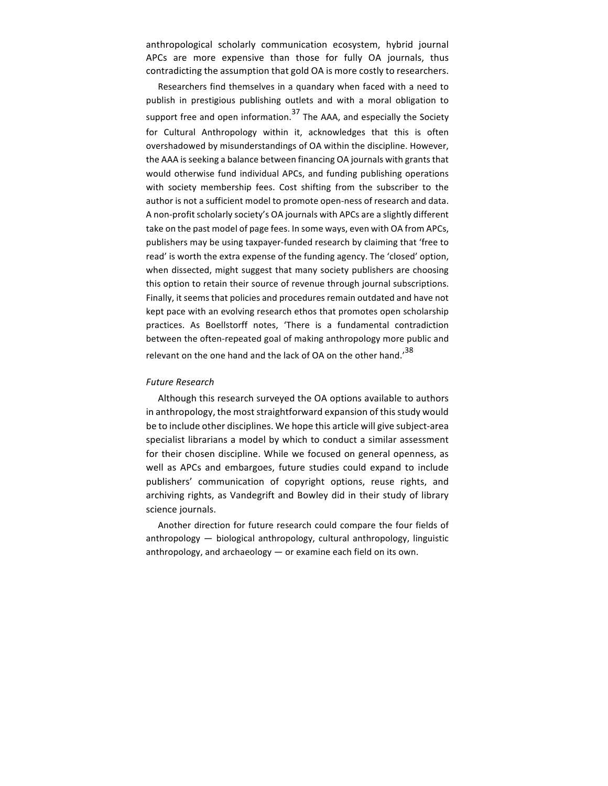anthropological scholarly communication ecosystem, hybrid journal APCs are more expensive than those for fully OA journals, thus contradicting the assumption that gold OA is more costly to researchers.

Researchers find themselves in a quandary when faced with a need to publish in prestigious publishing outlets and with a moral obligation to support free and open information.<sup>37</sup> The AAA, and especially the Society for Cultural Anthropology within it, acknowledges that this is often overshadowed by misunderstandings of OA within the discipline. However, the AAA is seeking a balance between financing OA journals with grants that would otherwise fund individual APCs, and funding publishing operations with society membership fees. Cost shifting from the subscriber to the author is not a sufficient model to promote open-ness of research and data. A non-profit scholarly society's OA journals with APCs are a slightly different take on the past model of page fees. In some ways, even with OA from APCs, publishers may be using taxpayer-funded research by claiming that 'free to read' is worth the extra expense of the funding agency. The 'closed' option, when dissected, might suggest that many society publishers are choosing this option to retain their source of revenue through journal subscriptions. Finally, it seems that policies and procedures remain outdated and have not kept pace with an evolving research ethos that promotes open scholarship practices. As Boellstorff notes, 'There is a fundamental contradiction between the often-repeated goal of making anthropology more public and relevant on the one hand and the lack of OA on the other hand.<sup>'38</sup>

#### *Future Research*

Although this research surveyed the OA options available to authors in anthropology, the most straightforward expansion of this study would be to include other disciplines. We hope this article will give subject-area specialist librarians a model by which to conduct a similar assessment for their chosen discipline. While we focused on general openness, as well as APCs and embargoes, future studies could expand to include publishers' communication of copyright options, reuse rights, and archiving rights, as Vandegrift and Bowley did in their study of library science journals.

Another direction for future research could compare the four fields of anthropology - biological anthropology, cultural anthropology, linguistic anthropology, and archaeology  $-$  or examine each field on its own.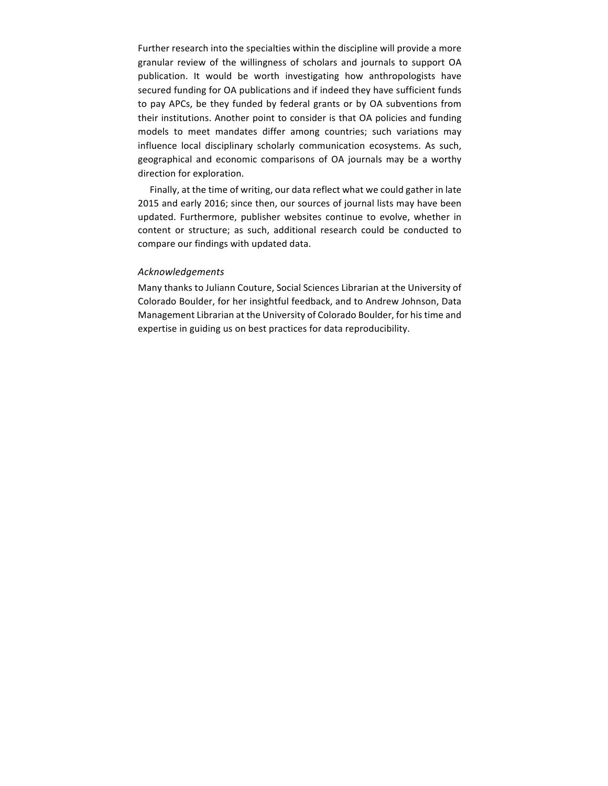Further research into the specialties within the discipline will provide a more granular review of the willingness of scholars and journals to support OA publication. It would be worth investigating how anthropologists have secured funding for OA publications and if indeed they have sufficient funds to pay APCs, be they funded by federal grants or by OA subventions from their institutions. Another point to consider is that OA policies and funding models to meet mandates differ among countries; such variations may influence local disciplinary scholarly communication ecosystems. As such, geographical and economic comparisons of OA journals may be a worthy direction for exploration.

Finally, at the time of writing, our data reflect what we could gather in late 2015 and early 2016; since then, our sources of journal lists may have been updated. Furthermore, publisher websites continue to evolve, whether in content or structure; as such, additional research could be conducted to compare our findings with updated data.

## *Acknowledgements*

Many thanks to Juliann Couture, Social Sciences Librarian at the University of Colorado Boulder, for her insightful feedback, and to Andrew Johnson, Data Management Librarian at the University of Colorado Boulder, for his time and expertise in guiding us on best practices for data reproducibility.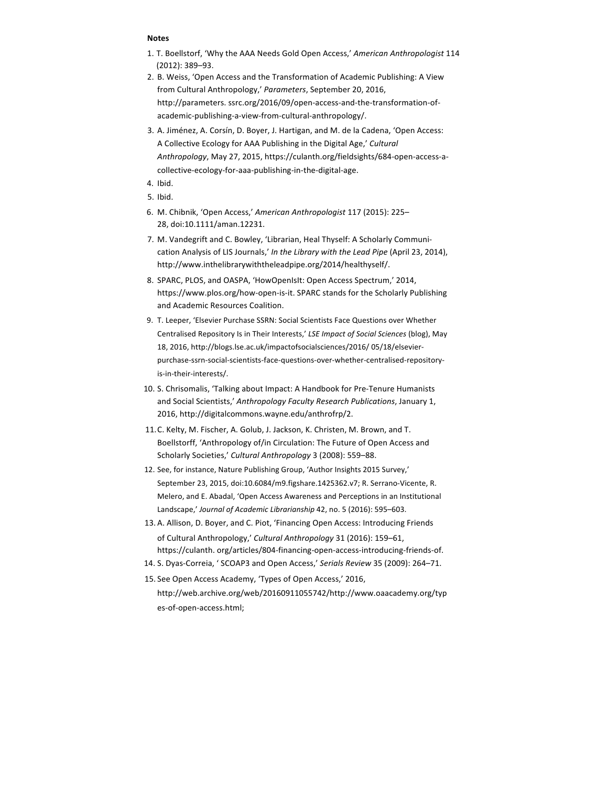#### **Notes**

- 1. T. Boellstorf, 'Why the AAA Needs Gold Open Access,' American Anthropologist 114 (2012): 389–93.
- 2. B. Weiss, 'Open Access and the Transformation of Academic Publishing: A View from Cultural Anthropology,' Parameters, September 20, 2016, http://parameters. ssrc.org/2016/09/open-access-and-the-transformation-ofacademic-publishing-a-view-from-cultural-anthropology/.
- 3. A. Jiménez, A. Corsín, D. Boyer, J. Hartigan, and M. de la Cadena, 'Open Access: A Collective Ecology for AAA Publishing in the Digital Age,' *Cultural* Anthropology, May 27, 2015, https://culanth.org/fieldsights/684-open-access-acollective-ecology-for-aaa-publishing-in-the-digital-age.
- 4. Ibid.
- 5. Ibid.
- 6. M. Chibnik, 'Open Access,' *American Anthropologist* 117 (2015): 225– 28, doi:10.1111/aman.12231.
- 7. M. Vandegrift and C. Bowley, 'Librarian, Heal Thyself: A Scholarly Communication Analysis of LIS Journals,' In the Library with the Lead Pipe (April 23, 2014), http://www.inthelibrarywiththeleadpipe.org/2014/healthyself/.
- 8. SPARC, PLOS, and OASPA, 'HowOpenIsIt: Open Access Spectrum,' 2014, https://www.plos.org/how-open-is-it. SPARC stands for the Scholarly Publishing and Academic Resources Coalition.
- 9. T. Leeper, 'Elsevier Purchase SSRN: Social Scientists Face Questions over Whether Centralised Repository Is in Their Interests,' LSE Impact of Social Sciences (blog), May 18, 2016, http://blogs.lse.ac.uk/impactofsocialsciences/2016/ 05/18/elsevierpurchase-ssrn-social-scientists-face-questions-over-whether-centralised-repositoryis-in-their-interests/.
- 10. S. Chrisomalis, 'Talking about Impact: A Handbook for Pre-Tenure Humanists and Social Scientists,' Anthropology Faculty Research Publications, January 1, 2016, http://digitalcommons.wayne.edu/anthrofrp/2.
- 11. C. Kelty, M. Fischer, A. Golub, J. Jackson, K. Christen, M. Brown, and T. Boellstorff, 'Anthropology of/in Circulation: The Future of Open Access and Scholarly Societies,' Cultural Anthropology 3 (2008): 559-88.
- 12. See, for instance, Nature Publishing Group, 'Author Insights 2015 Survey,' September 23, 2015, doi:10.6084/m9.figshare.1425362.v7; R. Serrano-Vicente, R. Melero, and E. Abadal, 'Open Access Awareness and Perceptions in an Institutional Landscape,' Journal of Academic Librarianship 42, no. 5 (2016): 595-603.
- 13. A. Allison, D. Boyer, and C. Piot, 'Financing Open Access: Introducing Friends of Cultural Anthropology,' Cultural Anthropology 31 (2016): 159-61, https://culanth. org/articles/804-financing-open-access-introducing-friends-of.
- 14. S. Dyas-Correia, ' SCOAP3 and Open Access,' Serials Review 35 (2009): 264–71.
- 15. See Open Access Academy, 'Types of Open Access,' 2016,

http://web.archive.org/web/20160911055742/http://www.oaacademy.org/typ es-of-open-access.html;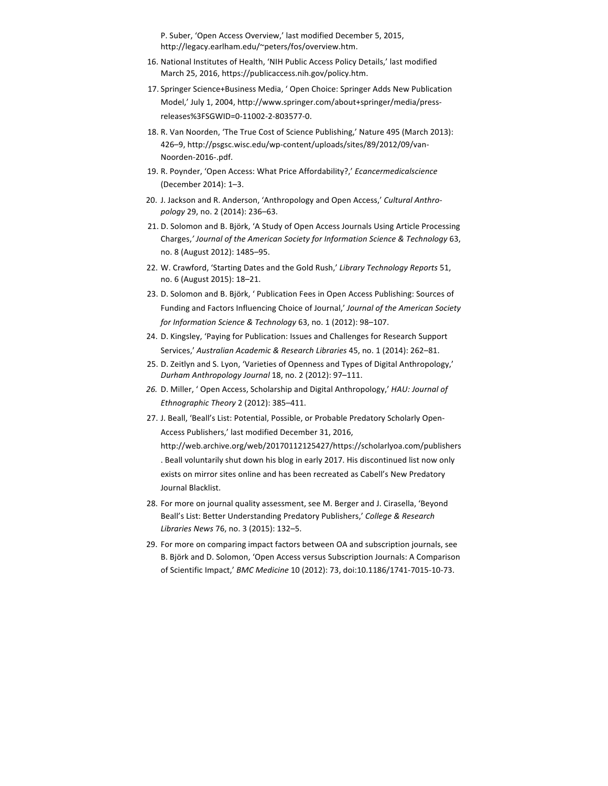P. Suber, 'Open Access Overview,' last modified December 5, 2015, http://legacy.earlham.edu/~peters/fos/overview.htm.

- 16. National Institutes of Health, 'NIH Public Access Policy Details,' last modified March 25, 2016, https://publicaccess.nih.gov/policy.htm.
- 17. Springer Science+Business Media, ' Open Choice: Springer Adds New Publication Model,' July 1, 2004, http://www.springer.com/about+springer/media/pressreleases%3FSGWID=0-11002-2-803577-0.
- 18. R. Van Noorden, 'The True Cost of Science Publishing,' Nature 495 (March 2013): 426-9, http://psgsc.wisc.edu/wp-content/uploads/sites/89/2012/09/van-Noorden-2016-.pdf.
- 19. R. Poynder, 'Open Access: What Price Affordability?,' *Ecancermedicalscience* (December 2014): 1-3.
- 20. J. Jackson and R. Anderson, 'Anthropology and Open Access,' Cultural Anthro*pology* 29, no. 2 (2014): 236-63.
- 21. D. Solomon and B. Björk, 'A Study of Open Access Journals Using Article Processing Charges,*' Journal of the American Society for Information Science & Technology* 63, no. 8 (August 2012): 1485–95.
- 22. W. Crawford, 'Starting Dates and the Gold Rush,' Library Technology Reports 51, no. 6 (August 2015): 18–21.
- 23. D. Solomon and B. Björk, ' Publication Fees in Open Access Publishing: Sources of Funding and Factors Influencing Choice of Journal,' Journal of the American Society *for Information Science & Technology* 63, no. 1 (2012): 98-107.
- 24. D. Kingsley, 'Paying for Publication: Issues and Challenges for Research Support Services,' Australian Academic & Research Libraries 45, no. 1 (2014): 262-81.
- 25. D. Zeitlyn and S. Lyon, 'Varieties of Openness and Types of Digital Anthropology,' *Durham Anthropology Journal* 18, no. 2 (2012): 97–111.
- 26. D. Miller, ' Open Access, Scholarship and Digital Anthropology,' *HAU: Journal of Ethnographic Theory* 2 (2012): 385–411.
- 27. J. Beall, 'Beall's List: Potential, Possible, or Probable Predatory Scholarly Open-Access Publishers,' last modified December 31, 2016, http://web.archive.org/web/20170112125427/https://scholarlyoa.com/publishers . Beall voluntarily shut down his blog in early 2017. His discontinued list now only exists on mirror sites online and has been recreated as Cabell's New Predatory Journal Blacklist.
- 28. For more on journal quality assessment, see M. Berger and J. Cirasella, 'Beyond Beall's List: Better Understanding Predatory Publishers,' College & Research *Libraries News* 76, no. 3 (2015): 132-5.
- 29. For more on comparing impact factors between OA and subscription journals, see B. Björk and D. Solomon, 'Open Access versus Subscription Journals: A Comparison of Scientific Impact,' BMC Medicine 10 (2012): 73, doi:10.1186/1741-7015-10-73.